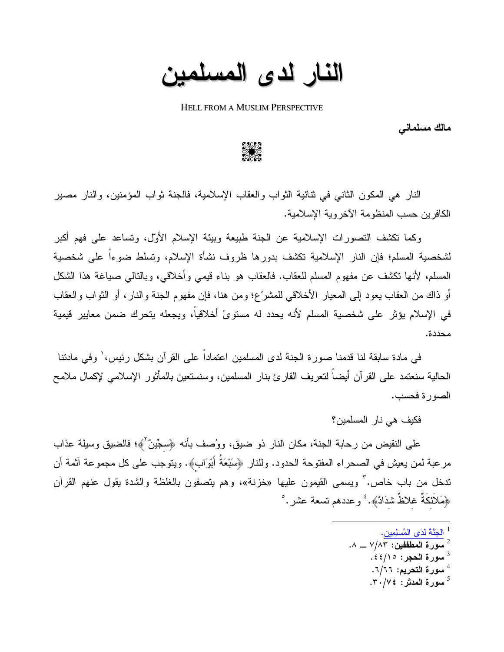النار لدى المسلمين

**HELL FROM A MUSLIM PERSPECTIVE** 

مالك مسلماني

النار هي المكون الثاني في ثنائية الثواب والعقاب الإسلامية، فالجنة ثواب المؤمنين، والنار مصير الكافر بن حسب المنظومة الآخر وبة الإسلامية.

وكما نكشف النصورات الإسلامية عن الجنة طبيعة وبيئة الإسلام الأول، وتساعد على فهم أكبر لشخصية المسلم؛ فإن النار الإسلامية تكشف بدورها ظروف نشأة الإسلام، وتسلط ضوءاً على شخصية المسلم، لأنها نكشف عن مفهوم المسلم للعقاب. فالعقاب هو بناء قيمي وأخلاقي، وبالنالي صبياغة هذا الشكل أو ذاك من العقاب يعود إلى المعيار الأخلاقي للمشرِّع؛ ومن هنا، فإن مفهوم الجنة والنار، أو الثواب والعقاب في الإسلام يؤثر على شخصية المسلم لأنه يحدد له مستوىً أخلاقياً، ويجعله يتحرك ضمن معايير قيمية محددة.

في مادة سابقة لنا قدمنا صورة الجنة لدى المسلمين اعتمادا على القرآن بشكل رئيس، ٰ وفي مادننا الحالية سنعتمد على القرآن أيضا لنعريف القارئ بنار المسلمين، وسنستعين بالمأثور الإسلامي لإكمال ملامح الصورة فحسب.

فكيف هي نار المسلمين؟

على النقيض من رحابة الجنة، مكان النار ذو ضيق، ووُصف بأنه ﴿سجِّينٌ ۚ﴾؛ فالضيق وسيلة عذاب مرعبة لمن يعيش في الصحراء المفتوحة الحدود. وللنار ﴿سَبْعَةُ أَبْوَابٍ﴾. ويتوجب على كل مجموعة أثمة أن ندخل من باب خاص." ويسمى القيمون عليها «خزنة»، وهم يتصفون بالغلظة والشدة يقول عنهم القرآن ﴿هَلَانَكَةٌ غَلَاظٌ شَدَادٌ﴾. ۚ وعددهم تسعة عشر . ٛ

- <sup>1</sup> الْجَنَّهُ لَدَى الْمُسلِمِينِ.
- $\cdot$ سور ة المطففين: ٧/٨٣ ـــ ٨.
	- سورة الحجر : ٤٤/١٥.
	- 4 سورة التحريم: ٦/٦٦.
	- سورة المدثر : ٣٠/٧٤.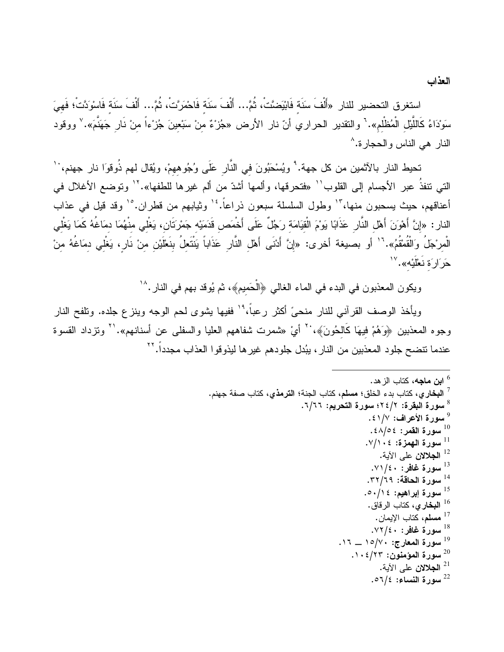العذاب

استغرق التحضير للنار «أَلْفَ سَنَة فَابْيَضَّتْ، ثُمَّ… أَلْفَ سَنَة فَاحْمَرَّتْ، ثُمَّ… أَلْفَ سَنَة فَاسْوَدَّتْ؛ فَهيَ سَوْدَاءُ كَاللَّيْل الْمُظْلم». ` والنقدير الحراري أنّ نار الأرض «جُزْءٌ منْ سَبْعينَ جُزْءاً منْ نَار جَهَنَّمَ». ` ووقود النار هي الناس والحجارة.^

تحيط النار بالآثمين من كل جهة.' ويُسْحَبُونَ في النَّار عَلَى وُجُوههمْ، ويُقال لمهم ذُوقوَا نار جهنم، '' التي نتفذُ عبر الأجسام إلى القلوب'` «فتحرقها، وألمها أشدّ من ألم غيرها للطفها».'' وتوضع الأغلال في أعناقهم، حيث يسحبون منها، "' وطول السلسلة سبعون ذراعاً. "' وثيابهم من قطران. "' وقد قيل في عذاب النار : «إنَّ أَهْوَنَ أَهْل النَّار عَذَابًا يَوْمَ الْقيَامَة رَجُلٌ عَلَى أَخْمَص قَدَمَيْه جَمْرتَان، يَغْلي منْهُمَا دمَاغُهُ كَمَا يَغْلي الْمرْجَلُ وَالْقُمْقُمُ».'` أو بصيغة أخرى: «إنَّ أَدْنَى أَهْل النَّارِ عَذَاباً يَنْتَعِلُ بنَعْلَيْنِ منْ نَارٍ، يَغْلي دمَاغُهُ منْ حَرَارَة نَعْلَيْه». ``

ويكون المعذبون في البدء في الماء الغالي ﴿الْحَميمِ﴾، ثم يُوقد بهم في النار .^`

ويأخذ الوصف القرآني للنار منحيَّ أكثر رعباً،" ٰ ففيها يشوى لحم الوجه وينزع جلده. وتلفح النار وجوه المعذبين ﴿وَهُمْ فيهَا كَالْحُونَ﴾، `` أيْ «شمرت شفاههم العليا والسفلي عن أسنانهم». `` ونزداد القسوة عندما نتضح جلود المعذبين من النار ، يبُدل جلودهم غير ها ليذوقوا العذاب مجدداً. ``

> <sup>6</sup> ا**ین ماجه،** کتاب الز هد. <sup>7</sup> ا**لبخا**ر ي، كتاب بدء الخلق؛ مسلم، كتاب الجنة؛ ا**لترمذ**ي، كتاب صفة جهنم. <sup>8</sup> سورة البقرة: ٢٤/٢؛ سورة التحريم: ٦/٦٦. <sup>9</sup> سورة الأعراف: ١/١٤١. سورة القمر: ٤٨/٥٤.  $^{10}$  $\cdot$ سورة الهمزة: ١٠٤/٧. <sup>12</sup> ا**لجلالان** على الآبة. سورة غافر: ٧١/٤٠. <sup>14</sup> سورة الحاقة: ٣٢/٦٩. <sup>15</sup> سورة إبراهيم: ٥٠/١٤. <sup>16</sup> ا**لبخار ي**، كتاب الرقاق. <sup>17</sup> مسلم، كتاب الإيمان. سورة غافر: ٧٢/٤٠.  $^{18}$  $\cdot$ 17 سورة المعارج: ١٥/٧٠ ــ ١٦. سورة المؤمنون: ١٠٤/٢٣.  $\cdot$ <sup>21</sup> ا**لجلالان** على الآية. .07/٤ سورة النساء: 7/٤ه.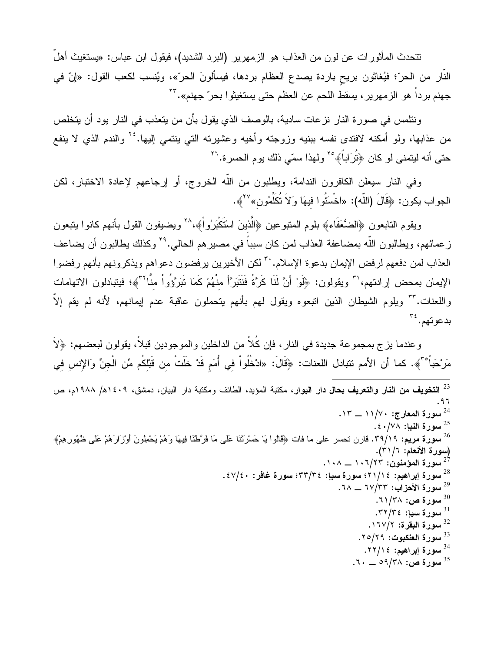نتحدث المأثورات عن لون من العذاب هو الزمهرير (البرد الشديد)، فيقول ابن عباس: «يستغيث أهلُ النار من الحرّ؛ فيُغاثون بريح باردة يصدع العظام بردها، فيسألونَ الحرّ»، ويُنسب لكعب القول: «إنّ في جهنم برداً هو الزمهرير ، يسقط اللحم عن العظم حتى يستغيثوا بحرّ جهنم».''<sup>٢</sup>

ونتلمس في صورة النار نزعات سادية، بالوصف الذي يقول بأن من يتعذب في النار بود أن يتخلص من عذابها، ولو أمكنه لافتدى نفسه ببنيه وزوجته وأخيه وعشيرته التي ينتمي إليها.'' والندم الذي لا ينفع حتى أنه ليتمنى لو كان ﴿تُرَاباً﴾ ٢٥ ولهذا سمّى ذلك يوم الحسرة. تن

وفي النار سيعلن الكافرون الندامة، ويطلبون من اللَّه الخروج، أو إرجاعهم لإعادة الاختبار، لكن الجواب يكون: ﴿قَالَ (اللَّه): «اخْسَتُوا فيهَا وَلاَ تُكَلِّمُون» ``}.

ويقوم النابعون ﴿الضُّعَفَاءِ﴾ بلوم المنبوعين ﴿الَّذينَ اسْتَكْبَرُواْ﴾،^` ويضيفون القول بأنهم كانوا ينبعون ز عمائهم، ويطالبون اللّه بمضاعفة العذاب لمن كان سبباً في مصبر هم الحالي.''` وكذلك يطالبون أن يضاعف العذاب لمن دفعهم لرفض الإيمان بدعوة الإسلام. بتسلمل الأخيرين يرفضون دعواهم ويذكرونهم بأنهم رفضوا الإيمان بمحض إرادتهم،'`` ويقولون: ﴿لَوْ أَنَّ لَذَا كَرَّةً فَنَتَبَرَّأَ منْهُمْ كَمَا نَبَرَّؤُواْ منَّا`'﴾؛ فيتبادلون الاتهامات واللعنات. ٣٣ ويلوم الشيطان الذين انبعوه ويقول لمهم بأنهم يتحملون عاقبة عدم إيمانهم، لأنه لم يقم إلاّ بدعوتهم. ُ۳

وعندما بزج بمجموعة جديدة في النار ، فإن كُلًّا من الداخلين والموجودين قبلاً، يقولون لبعضهم: ﴿لاَّ مَرْحَباً ۚ"﴾. كما أن الأمم تتبادل اللعنات: ﴿قَالَ: «ادْخُلُواْ في أُمَمِ قَدْ خَلَتْ مِن قَبْلِكُم مِّن الْجِنِّ وَالإِنسِ فِي <sup>23</sup> ا**لتخويف من النار والتعريف بحال دار البو**ار، مكتبة المؤيد، الطائف ومكتبة دار البيان، دمشق، ١٤٠٩ه/ ١٩٨٨م، ص  $.97$  $.17 - 11/V$ ۰ سورة المعارج: ۱۱/۷۰ ـــ ۱۳. . سورة النبإ: ٤٠/٧٨. <sup>26</sup> **سورة مريع:** ٣٩/١٩. قارن نحسر على ما فات ﴿قَالُواْ يَا حَسْرَتَنَا عَلَى مَا فَرَّطْنَا فِيهَا وَهُمْ يَحْطِونَ أوْزَارَهُمْ عَلَى ظُهُورِهِمْ﴾ (سورة الأنعام: ٣١/٣١).  $\cdots$ سورة المؤمنون: ۱۰۲/۲۳  $\wedge$ ۰۱۰ . سورة إبراهيم: ١/ ٢١/ ٤٩ سورة سبإ: ٣٣/٣٤؛ سورة غافر: ٤٧/٤٠. سورة الأحزاب: ٦٧/٣٣ \_\_ ٦٨. سورة ص: ٣٨/٢٨. .۳۲/۳٤ سورة سيإ: ٣٢/٣٤. <sup>32</sup> سورة البقرة: ١٦٧/٢. <sup>33</sup> سورة العنكبوت: ٢٥/٢٩. <sup>34</sup> سورة إبراهيم: ٢٢/١٤. . سورة ص: ٥٩/٣٨ \_ ٦٠.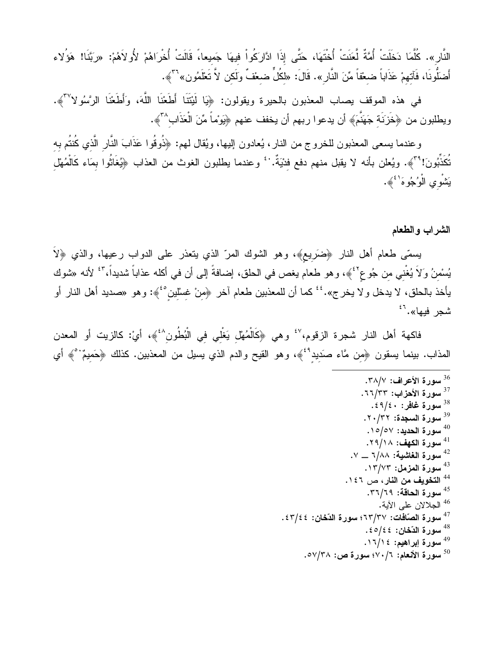النَّارِ». كُلَّمَا دَخلَتْ أُمَّةٌ لَّعَنَتْ أُختَهَا، حَتَّى إذَا ادَّارَكُواْ فيهَا جَميعا،ً قَالَتْ أُخْرَاهُمْ لأُولاَهُمْ: «ربَّنَا! هَؤُلاء أَضلُونَا، فَآتهمْ عَذَاباً ضعْفاً مِّنَ النَّارِ ». قَالَ: «لكُلٍّ ضعْفٌ ولَكن لاَّ تَعْلَمُون»<sup>٣٦</sup>﴾.

في هذه الموقف بصاب المعذبون بالحيرة ويقولون: ﴿يَا لَيْتَنَا أَطَعْنَا اللَّهَ، وَأَطَعْنَا الرَّسُولاً "﴾. ويطلبون من ﴿خَزَنَـة جَهَنَّمَ﴾ أن يدعوا ربهم أن يخفف عنهم ﴿يَوْماً مِّنَ الْعَذَابِ^"﴾.

وعندما يسعى المعذبون للخروج من النار، يُعادون إليها، ويُقال لمهم: ﴿ذُوقُوا عَذَابَ النَّارِ الَّذي كُنتُم به تُكَذِّبُونَ! \* ٓ﴾. ويُعلن بأنه لا يقبل منهم دفع فدْيَةٌ. ` ۚ وعندما يطلبون الغوث من العذاب ﴿يُغَاثُوا بمَاء كَالْمُهْل يَشْوي الْوُجُوهَ<sup>' ئ</sup>ُهُ.

الشراب والطعام

يسمَّى طعام أهل النار ﴿ضَرِيعٍ﴾، وهو الشوك المرّ الذي يتعذر على الدواب رعيها، والذي ﴿لاَ يُسْمنُ وَلاَ يُغْني من جُوع<sup>؟ ب</sup>َهِ، وهو طعام يغص في الحلق، إضافةُ إلى أن في أكله عذاباً شديداً، <sup>٤٣</sup> لأنه «شوك يأخذ بالحلق، لا يدخل و لا يخرج».<sup>؛؛</sup> كما أن للمعذبين طعام آخر ﴿مِنْ غِسْلَين<sup>٤</sup>ُ﴾: وهو «صديد أهل النار أو شجر فيها».<sup>53</sup>

فاكهة أهل النار شجرة الزقوم، `` وهي ﴿كَالْمُهْل يَغْلي في الْبُطُون ``﴾، أيْ: كالزيت أو المعدن المذاب. بينما يسقون ﴿مِن مَّاء صَديدُ ۚ ﴾، وهو القيح والدم الذي يسيل من المعذبين. كذلك ﴿حَميمٌ ۚ ﴾ أي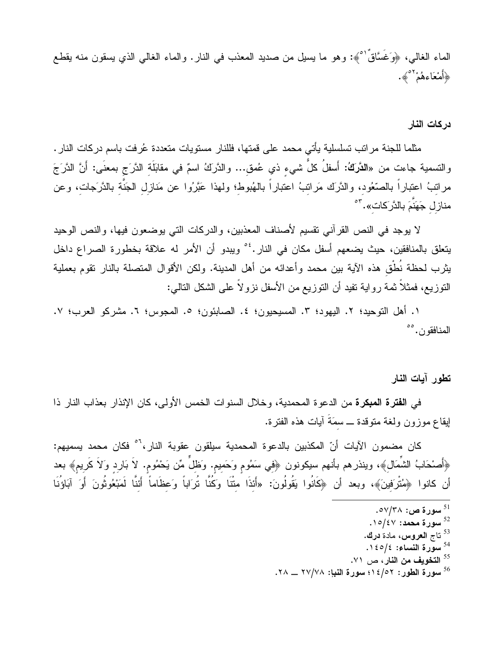الماء الغالـي، ﴿وَغَسَّاقٌ ۚ ﴾: وهو ما يسيل من صديد المعذب في النار . والماء الغالـي الذي يسقون منه يقطـع ﴿أَمْعَاءِهُمْ <sup>٥٢</sup>ُ».

در كات النار

مثلما للجنة مراتب تسلسلية يأتي محمد على قمتها، فللنار مستويات متعددة عُرفت باسم دركات النار . والنسمية جاءت من «**الدَّرَكُ**: أَسفلُ كلُّ شيء ذي عُمق... والدَّركُ اسمٌ في مقابَلَة الدَّرَج بمعنَى: أَنَّ الدَّرَجَ مراننبُ اعتباراً بالصَّعُود، والدَّرك مَراننبُ اعتباراً بالهُبوط؛ ولهذا عَبَّرُوا عن مَنازل الجَنَّة بالدَّرَجات، وعن منازل جَهَنَّمَ بالذَّرَكات». "°

لا يوجد في النص القرآني نقسيم لأصناف المعذبين، والدركات التي يوضعون فيها، والنص الوحيد يتعلق بالمنافقين، حيث يضعهم أسفل مكان في النار .<sup>26</sup> ويبدو أن الأمر له علاقة بخطورة الصراع داخل يثرب لحظة نُطْق هذه الآية بين محمد وأعدائه من أهل المدينة. ولكن الأقوال المتصلة بالنار نقوم بعملية النوزيع، فمثلاً ثمة رواية نفيد أن النوزيع من الأسفل نزولاً على الشكل النالـي:

١. أهل التوحيد؛ ٢. اليهود؛ ٣. المسيحيون؛ ٤. الصابئون؛ ٥. المجوس؛ ٦. مشركو العرب؛ ٧. المنافقون. °°

تطور آيات النار

في ا**لفترة المبكرة** من الدعو ة المحمدية، وخلال السنوات الخمس الأولى، كان الإنذار بعذاب النار ذا ايقاع موزون ولغة متوقدة ــ سمَةَ أيات هذه الفترة.

كان مضمون الآيات أنّ المكذبين بالدعوة المحمدية سيلقون عقوبة النار،<sup>7</sup>° فكان محمد يسميهم: ﴿أَصْحَابُ الشَّمَالِ﴾، وينذرهم بأنهم سيكونون ﴿فِي سَمُومٍ وَحَمِيمٍ. وَظلَّ مِّن يَحْمُوم. لاَ بَارِدِ وَلاَ كَريم﴾ بعد أن كانوا ﴿مُتْرَفِينَ﴾، وبعد أن ﴿كَانُوا يَقُولُونَ: «أَئذَا متْنَا وَكُنَّا تُرَاباً وَعظَاماً أَئنَّا لَمَبْعُوثُونَ أَوَ آبَاؤُنَا

- $.10/\epsilon$ سورة محمد: ١٥/٤٧.
- <sup>53</sup> تاج ا**لـع**روس، مادة **درك.**
- <sup>54</sup> سوّرة النساء: ١٤٥/٤.
- <sup>55</sup> ا**لتخويف من النار** ، ص ٧١.
- سورة الطور: ١٤/٥٢؛ سورة النبإ: ٢٧/٧٨ \_\_ ٢٨.

<sup>&</sup>lt;sup>51</sup> سورة ص: ∧۳/۳۸.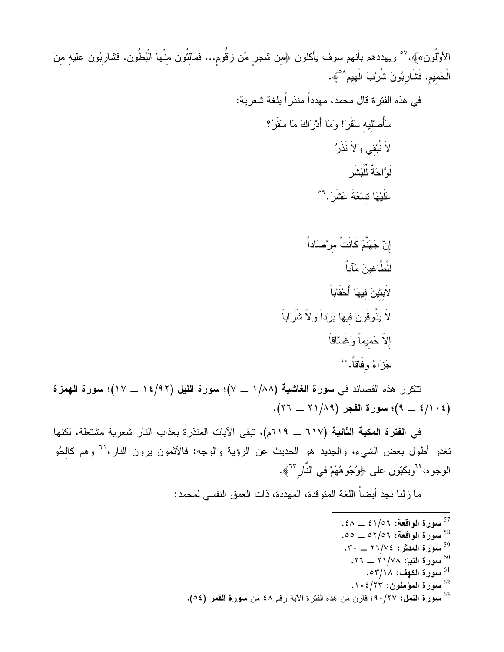الأَوَّلُونَ»﴾.<sup>٥٧</sup> ويهددهم بأنهم سوف يأكلون ﴿مِن شَجَرٍ مِّن زَقُّومٍ... فَمَالِثُونَ مِنْهَا الْبُطُونَ. فَشَارِبُونَ عَلَيْهِ مِنَ الْحَميم. فَشَارِبُونَ شُرُبَ الْهيم<sup>٥٨</sup>﴾.

نتكرر هذه القصائد في سورة الغاشية (١/٨٨ \_ ٧)؛ سورة الليل (١٤/٩٢ \_ ١٧)؛ سورة الهمزة  $(3 - 2)$ ؛ سورة الفجر (٢٨/٢٩ \_ ٢٢).

 $\tilde{i}$ 

في الفترة المكية الثانية (٦١٧ ــ ٦١٩م)، تبقى الآيات المنذرة بعذاب النار شعرية مشتعلة، لكنها تغدو أطول بعض الشيء، والجديد هو الحديث عن الرؤية والوجه: فالأثمون برون النار،'<sup>י</sup> وهم كالحُو الوجوه،<sup>7٬</sup>ويكبّون على ﴿وُجُوهُهُمْ في النّار<sup>٦٬</sup>﴾.

ما زلنا نجد أيضا اللغة المنوقدة، المهددة، ذات العمق النفسي لمحمد:

- . سورة الواقعة: ٤١/٥٦ \_ ٤٨.
- 00 \_ مورة الواقعة: ٥٢/٥٦ \_ ٥٥.
- 
- سورة النبإ: ٢٧/٢٨ \_ ٢٦.
	- سورة الكهف: ٥٣/١٨.
- $1 \cdot 2 / 17$ سورة المؤمنون: ١٠٤/٢٣.
- <sup>63</sup> سورة النمل: ٩٠/٢٧؛ قارن من هذه الفترة الآية رقم ٤٨ من سورة القمر (٥٤).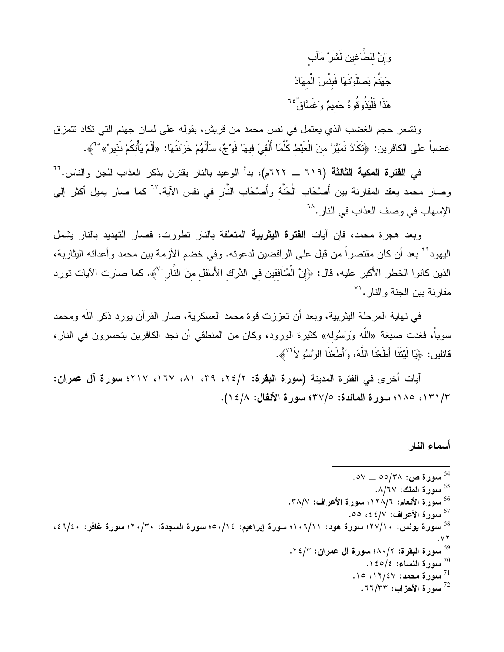وَإِنَّ للطَّاغينَ لَشَرَّ مَآب جَهَنَّمَ يَصلُّونَهَا فَبَئْسَ الْمهَادُ هَذَا فَلْيَذُوفُوهُ حَميمٌ وَغَسَّاقٌ ً َ ۚ

ونشعر حجم الغضب الذي يعتمل في نفس محمد من قريش، بقوله على لسان جهنم التي تكاد نتمزق غضباً على الكافرين: ﴿تَكَادُ تَمَيَّرُ مِنَ الْغَيْظ كُلَّمَا أُلْقِيَ فيهَا فَوْجٌ، سَأَلَهُمْ خَزَنَتُهَا: «أَلَمْ يَأْتكُمْ نَذيرٌ» °`﴾.

في ا**لفترة المكية الثالثة (٦١٩ ــ ٦٢٢م)،** بدأ الوعيد بالنار يقتر ن بذكر العذاب للجن والناس.<sup>٦٦</sup> وصار محمد يعقد المقارنة بين أَصنحَاب الْجَنَّة وأَصنحَاب النَّار في نفس الآية. ``` كما صار يميل أكثر إلى الإسهاب في وصف العذاب في النار .^`

وبعد هجرة محمد، فإن آيات ا**لفترة اليثربية** المتعلقة بالنار تطورت، فصار التهديد بالنار يشمل اليهود<sup>74</sup> بعد أن كان مقتصراً من قبل على الرافضين لدعوته. وفي خضم الأزمة بين محمد وأعدائه اليثاربة، الذين كانوا الخطر الأكبر عليه، قال: ﴿إِنَّ الْمُنَافقينَ في الدَّرِك الأَسْفَل منَ النَّار ' ﴾. كما صارت الآيات تورد مقارنة بين الجنة والنار. الا

في نهاية المرحلة اليثربية، وبعد أن تعززت قوة محمد العسكرية، صار القرآن بورد ذكر الله ومحمد سوياً، فغدت صيغة «اللَّه وَرَسُوله» كثيرة الورود، وكان من المنطقي أن نجد الكافرين يتحسرون في النار، قائلين: ﴿يَا لَيْتَنَا أَطَعْنَا اللَّهَ، وَأَطَعْنَا الرَّسُو لاَ َ ۙ﴾.

آيات أخرى فى الفترة المدينة (سورة البقرة: ٢/٢٤، ٣٩، ٨١، ١٦٧، ٢١٧؛ سورة آل عمران: ١٣١/٣، ١٨٥؛ سورة المائدة: ٣٧/٥؛ سورة الأنفال: ٤/٨ ١).

أسماء النار

<sup>64</sup> سورة ص: ۳۸/°۰۵ ـــ ۵۷. <sup>65</sup> سورة الملك: ٨/٦٧. <sup>66</sup> سورة الأنعام: ١٢٨/٦؛ سورة الأعراف: ٣٨/٧. <sup>67</sup> سورة الأعراف: ٤٤/٧، ٥٥. <sup>68</sup> سورة يونس: ٢٧/١٠؛ سورة هود: ١٠٦/١١؛ سورة إبراهيم: ٥٠/١٤؛ سورة السجدة: ٢٠/٣٠؛ سورة غافر: ٤٩/٤٠،  $. YY$ 69 سورة البقرة: ١/ ٠٨٠ سورة آل عمران: ٢٤/٢. . اسورة النساء: ١٤٥/٤.  $\cdot$ ۰۱۰ سورة محمد: ۱۶/٤۷، ۱۰. سورة الأحزاب: ٢٣/٣٣.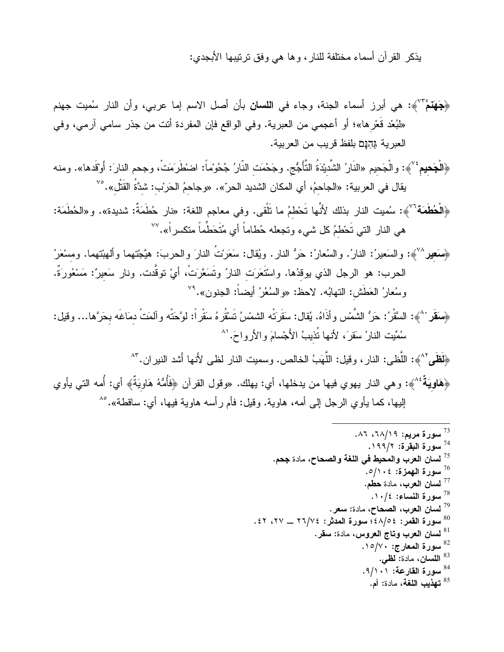يذكر القرآن أسماء مختلفة للنار، وها هي وفق ترنيبها الأبجدي:

﴿جَهَنَمَّ ۚ `` ﴾: هي أبرز أسماء الجنة، وجاء في ا**للسان** بأن أصل الاسم إما عربي، وأن النار سُميت جهنم «لَبُعْد قَعْرِها»؛ أو أعجمي من العبرية. وفي الواقع فإن المفردة أنت من جذر سامي آرمي، وفي العبر بة גהנֵם بلفظ قر بب من العر بية.

﴿الْجَحيم<sup>} ٧</sup>﴾: والْجَحيم «النَّارُ الشَّديْدَةُ التَّأَجُّج. وجَحُمَت النَّارُ جُحُوماً: اضطَرَمَتْ، وجحم النارَ: أَوْقَدها». ومنه يقال في العربية: «الجاحمُ، أي المكان الشديد الحرّ». «وجاحمُ الحَربْ: شدَّةُ القَتْل».°٬

﴿الْحُطَمَة<sup>7</sup>'﴾: سُميت النار بذلك لأنَّها تَحْطمُ ما تَلْقى. وفي معاجم اللغة: «نار حُطَمَةٌ: شديدة». و«الحُطَمَة: هي النار التي تَحْطمُ كل شيء وتجعله حُطاماً أي مُتَحَطِّماً متكسراً».<sup>٧٧</sup>

﴿سَعِيرٌ ``﴾: والسَعيرُ: النارُ. والسُعارُ: حَرُّ النارِ. ويُقال: سَعَرْتُ النارَ والحربَ: هيَّجْتهما وألمهبْتهما. ومسْعَرُ الحرب: هو الرجل الذي يوقدُها. واسْتَعَرَت النارُ وتَسَعَّرَتْ، أيْ توقَّدت. ونار سَعيرٌ: مَسْعُورَةٌ. وسُعارُ العَطَشْ: النهابُه. لاحظ: «والسُعُرُ أيضـاً: الـجنون».'<sup>٧٩</sup>

﴿سَقَر `^﴾: السَّقْرُ: حَرُّ الشَّمْسِ وأذَاهُ. يُقال: سَقَرَتْه الشمْسُ تَسْقُرهُ سَقْرٍ أ: لوَّحَتْه وآلمَتْ دمَاغَه بحَرَّها… وقيل: سُمِّيت النارُ سَقرَ، لأنها تُذيبُ الأَجْسامَ والأرواحَ.'^

﴿لَظَمِي ٌ ^﴾: اللُّظي: النار ، وقيل: اللُّهَبُ الخالص. وسميت النار لظي لأنها أشد النير ان. " ^ ﴿هَ**اوِيَةٌ** ۚ ^﴾: وهي النار يهوي فيها من يدخلها، أي: يهلك. «وقول القرآن ﴿فَأُمُّهُ هَاوِيَةٌ﴾ أي: أُمه التي يأوي الِيها، كما يأوي الرجل إلى أمه، هاوية. وقيل: فأم رأسه هاوية فيها، أي: ساقطة».°^

| <sup>37</sup> سورة مريم: ٦٨/١٩، ٨٦.                                          |  |
|------------------------------------------------------------------------------|--|
| <sup>74</sup> سورة البقرة: ١٩٩/٢.                                            |  |
| <sup>75</sup> ل <b>سان العرب والمحيط في اللغة والصحاح،</b> مادة <b>جح</b> م. |  |
| سورة المهزة: ١٠٤/٥.                                                          |  |
| <sup>77</sup> ل <b>سان العرب،</b> مادة حطم.                                  |  |
| $\cdot$ / سورة النساء: ١٠/٤.                                                 |  |
| لسان العرب، الصحاح، مادة: سعر . $^{79}$                                      |  |
| $30$ سورة القمر: ٤٨/٥٤؛ سورة المدثر: ٧٤/٧٤ ــ ٢٧، ٤٢.                        |  |
| لسان العرب وتاج العروس، مادة: سقر. $^{\rm 81}$                               |  |
| <sup>82</sup> سورة المعارج: ١٥/٧٠.                                           |  |
| <sup>83</sup> ا <b>للسان،</b> مادة: <b>لظي</b> .                             |  |
| <sup>84</sup> سورة القارعة: ٩/١٠١.                                           |  |
| <sup>85</sup> تهذيب اللغة، مادة: أم.                                         |  |
|                                                                              |  |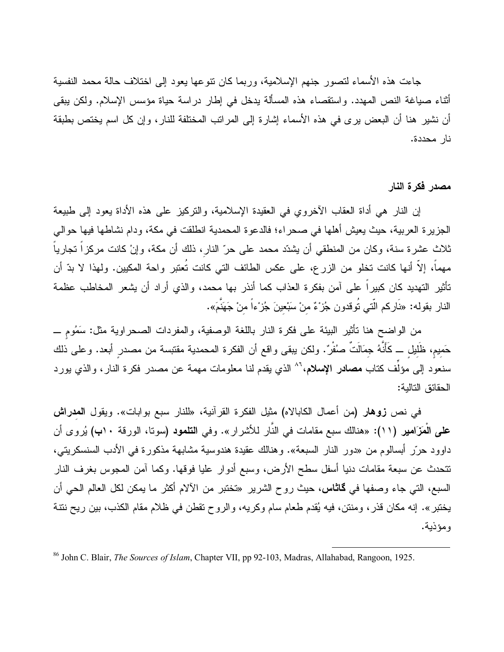جاءت هذه الأسماء لتصور جنهم الإسلامية، وربما كان نتوعها يعود إلى اختلاف حالة محمد النفسية أثناء صبياغة النص المهدد. واستقصاء هذه المسألة بدخل في إطار دراسة حياة مؤسس الإسلام. ولكن يبقى أن نشير هنا أن البعض برى في هذه الأسماء إشارة إلى المراتب المختلفة للنار، وإن كل اسم يختص بطبقة نار محددة.

## مصدر فكرة النار

إن النار هي أداة العقاب الأخروي في العقيدة الإسلامية، والنركيز على هذه الأداة يعود إلى طبيعة الجزيرة العربية، حيث يعيش أهلها في صحراء؛ فالدعوة المحمدية انطلقت في مكة، ودام نشاطها فيها حوالي ثلاث عشرة سنة، وكان من المنطقي أن يشدّد محمد على حرّ النار، ذلك أن مكة، وإنْ كانت مركزاً تجارياً مهماً، إلاَّ أنها كانت تخلو من الزرع، على عكس الطائف التي كانت تُعتبر واحة المكيين. ولهذا لا بدّ أن تأثير التهديد كان كبيراً على آمن بفكرة العذاب كما أنذر بها محمد، والذي أراد أن يشعر المخاطب عظمة النار بقوله: «نَاركم الَّتي تُوقدون جُزْءٌ منْ سَبْعينَ جُزْءاً منْ جَهَنَّمَ».

من الواضح هنا نأثير البيئة على فكرة النار باللغة الوصفية، والمفردات الصحراوية مثل: سَمُومٍ ـــ حَميم، ظَلَيل ـــ كَأَنَّهُ جمَالَتٌ صَنْفُرٌ. ولكن ببقي واقع أن الفكرة المحمدية مقتبسة من مصدر أبعد. وعلى ذلك سنعود إلى مؤلِّف كتاب **مصادر الإسلام**،<sup>٨٦</sup> الذي يقدم لنا معلومات مهمة عن مصدر فكرة النار، والذي يورد الحقائق التالية:

في نص زوهار (من أعمال الكابالاه) مثيل الفكرة القرآنية، «للنار سبع بوابات». ويقول المعراش **علمي الْمَزَامير (١١):** «هنالك سبع مقامات في النَّار للأشرار». وفي ا**لتلمود (**سونا، الورقة ١٠ب) يُروى أن داوود حرّر أبسالوم من «دور النار السبعة». وهنالك عقيدة هندوسية مشابهة مذكورة في الأدب السنسكريني، نتحدث عن سبعة مقامات دنيا أسفل سطح الأرض، وسبع أدوار عليا فوقها. وكما آمن المجوس بغرف النار السبع، التي جاء وصفها في **كاثاس،** حيث روح الشرير «تختبر من الألام أكثر ما يمكن لكل العالم الحي أن يختبر ». إنه مكان قذر ، ومنتن، فيه يُقدم طعام سام وكريه، والروح تقطن في ظلام مقام الكذب، بين ريح نتنة و مؤذبة.

<sup>&</sup>lt;sup>86</sup> John C. Blair, The Sources of Islam, Chapter VII, pp 92-103, Madras, Allahabad, Rangoon, 1925.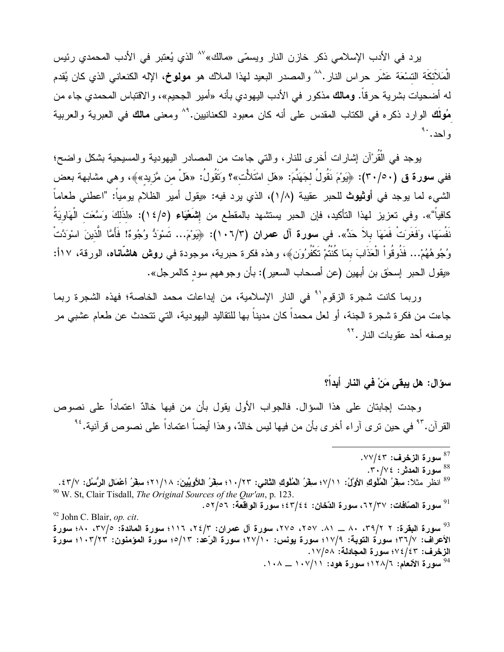يرد في الأدب الإسلامي ذكر خازن النار ويسمّى «مالك» `` الذي يُعتبر في الأدب المحمدي رئيس الْمَلاَئِكَة التسْعَة عَشْرٍ حراس النار .^^ والمصدر البعيد لـهذا الملاك هو **مولوخ،** الإله الكنعاني الذي كان يُقدم له أضحيات بشرية حرقاً. **ومالك** مذكور في الأدب اليهودي بأنه «أمير الجحيم»، والاقتباس المحمدي جاء من مُولَك الوارد ذكره في الكتاب المقدس على أنه كان معبود الكعنانيين.''` ومعنى مالك في العبرية والعربية واحد. ` ُ

يوجد في الْقُرْآن إشارات أخرى للنار، والتي جاءت من المصادر اليهودية والمسيحية بشكل واضح؛ ففي **سورة ق (٢٠/٥٠):** ﴿بَوْمَ نَقُولُ لِجَهَنَّمَ: «هَل امْتَلأْت»؟ وَتَقُولُ: «هَلْ من مَّزيد»﴾، وهي مشابهة بعض الشيء لما يوجد في أ**وثيوث** للحبر عقيبة (١/٨)، الذي يرد فيه: «يقول أمير الظلام يومياً: "اعطني طعاماً كافياً"». وفي تعزيز لهذا التأكيد، فإن الحبر يستشهد بالمقطع من إ**شَعْيَاء (١٤/٥):** «لذَلكَ وَسَّعَت الْهَاويَةُ نَفْسَهَا، وَفَغَرَتْ فَمَهَا بلاً حَدٍّ». في **سورة آل عمران (١٠**٦/٣): ﴿يَوْمَ... تَسْوَدُّ وُجُوهٌ! فَأَمَّا الْذينَ اسْوَدَّتْ وُجُوهُهُمْ... فَذُوقُواْ الْعَذَابَ بِمَا كُنْتُمْ تَكَفَّرُونَ﴾، وهذه فكرة حبرية، موجودة في **روش هاشانـاه**، الورقة، ١٧أ: «يقول الحبر إسحٰق بن أبهين (عن أصحاب السعير): بأن وجوههم سودٍ كالمرجل».

وربما كانت شجرة الزقوم'" في النار الإسلامية، من إبداعات محمد الخاصة؛ فهذه الشجرة ربما جاءت من فكرة شجرة الجنة، أو لعل محمداً كان مديناً بها للنقاليد اليهودية، التي تتحدث عن طعام عشبي مر بوصفه أحد عقوبات النار. "

## سوّال: هل يبقى مَنْ في النار أبداً؟

وجدت إجابتان على هذا السؤال. فالجواب الأول يقول بأن من فيها خالدٌ اعتماداً على نصوص القر آن. ٌ في حين تر ي آر اء أخر ي بأن من فيها ليس خالدٌ، و هذا أيضاً اعتماداً على نصوص قر آنية. ُ ُ أ

- <sup>88</sup> سورة المدثر: ٢٠/٧٤.
- <sup>89</sup> انظر مثلا: سقِّرُ الْمُلُوكِ الأوَّلُ: ١٧/١؛ سقِّرُ الْمُلُوكِ الثاني: ١٠/٢٣؛ سقِّرُ اللاَّويِّينَ: ٢١/١٨؛ سقِّرُ أعْمَالِ الرُّسُلِ: ٢٣/٧. <sup>90</sup> W. St, Clair Tisdall, The Original Sources of the Qur'an, p. 123. سورة الصّافات: ٦٢/٣٧، سورة الدّخان: ٤٢/٤٤؛ سورة الواقعة: ٥٢/٥٦.  $\sim$

<sup>92</sup> John C. Blair, op. cit.

 $\cdot$ سورة الزخرف: ٧٧/٤٣.

<sup>&</sup>lt;sup>93</sup> سورة البقرة: ٢ /٣٩/ ٨٠ \_\_ ٨١. ٢٥٧، ٢٧٥، سورة آل عمران: ٢٤/٣، ١١٦؛ سورة المائدة: ٢٧/٥، ٨٠؛ سورة الأعراف: ٧/٢٦)؛ سورة التوبة: ١٧/٩؛ سورة يونس: ٢٧/١٠؛ سورة الرَّعْد: ٥/١٣؛ سورة المؤمنون: ١٠٣/٢٣؛ سورة الزخرف: ٤/٤/٤٣؛ سورة المجادلة: ١٧/٥٨. <sup>94</sup> سورة الأنعام: ١٢٨/٦؛ سورة هود: ١٠٧/١١ \_\_ ١٠٨.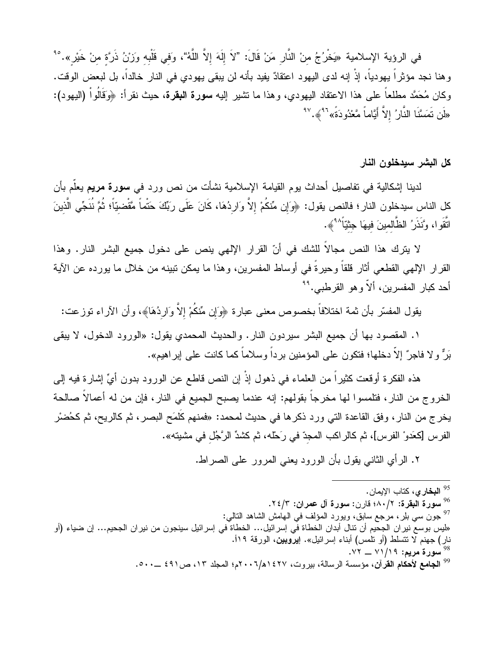في الرؤية الإسلامية «يَخْرُجُ منْ النَّارِ مَنْ قَالَ: "لاَ إِلَهَ إِلاَّ اللَّهُ"، وَفي قَلْبه وَزْنُ ذَرَّة منْ خَيْر ».<sup>٩٥</sup> وهنا نجد مؤثراً يهودياً، إذْ إنه لدى اليهود اعتقادٌ يفيد بأنه لن يبقى يهودي في النار خالداً، بل لبعض الوقت. وكان مُحَمَّد مطلعاً على هذا الاعتقاد اليهودي، وهذا ما تشير إليه **سورة البقرة**، حيث نقرأ: ﴿وَقَالُواْ (اليهود): «لَن تَمَسَّنَا النَّارُ إلاَّ أَيَّاماً مَّعْدُودَةً» <sup>٩٦</sup> ﴾. <sup>٩٧</sup>

كل البشر سيدخلون النار

لدينا اِشكالية في تفاصيل أحداث يوم القيامة الإسلامية نشأت من نص ورد في **سورة مريم** يعلّم بأن كل الناس سيدخلون النار؛ فالنص يقول: ﴿وَإِن مِّنكُمْ إِلاَّ وَارِدُهَا، كَانَ عَلَى رَبِّكَ حَتْماً مَّقْضيّاً؛ ثُمَّ نُنَجِّي الَّذينَ اتَّقَوا، وَّنَذَرُ الظَّالمينَ فيهَا جِنْيَا<sup>ً ^4</sup>﴾.

لا يترك هذا النص مجالاً للشك في أنّ القرار الإلهي ينص على دخول جميع البشر النار. وهذا القرار الإلهي القطعي أثار قلقاً وحيرةً في أوساط المفسرين، وهذا ما يمكن نبينه من خلال ما يورده عن الآية أحد كبار المفسر بن، ألاّ و هو القر طبي. <sup>٩٩</sup>

يقول المفسَّر بأن ثمة اختلافاً بخصوص معنى عبارة ﴿وَإِن مِّنكُمْ إِلاَّ وَارِدُهَا﴾، وأن الأراء توزعت:

١. المقصود بها أن جميع البشر سيردون النار . والحديث المحمدي يقول: «الورود الدخول، لا يبقى بَرٌّ و لا فاجرٌ إلاَّ دخلها؛ فتكون على المؤمنين برداً وسلاماً كما كانت على إبراهيم».

هذه الفكرة أوقعت كثيراً من العلماء في ذهول إذْ إن النص قاطع عن الورود بدون أيٍّ إشارة فيه إلى الخروج من النار ، فتلمسوا لها مخرجا بقولهم: إنه عندما يصبح الجميع في النار ، فإن من له أعمالا صالحة يخرج من النار، وفق القاعدة التي ورد ذكرها في حديث لمحمد: «فمنهم كَلَمَح البصر، ثم كالريح، ثم كحُضرْ الفرس [كعَدو ْ الفرس]، ثم كالراكب المجِدّ في رَحْله، ثم كشدِّ الرَّجُلِ في مشينه».

٢. الرأي الثاني يقول بأن الورود يعني المرور على الصراط.

- <sup>95</sup> ا**لبخار ي،** كتاب الإيمان.
- <sup>96</sup> سورة البقرة: ١٨٠/٢؛ قارن: سورة آل عمران: ٢٤/٣.
- <sup>97</sup> جون سبي بلِر ، مرجع سابق، ويورد المؤلف في الـهامش الشاهد النـالـي:

«ليس بوسع نير ان الجحيم أن نتال أبدان الخطاة في إسرائيل… الخطاة في إسرائيل سينجون من نير ان الجحيم… إن ضياء (أو نار) جهنم لا نتسلط (أو نلمس) أبناء إسرائيل». إ**يروبين**، الورقة ١١٩. <sup>98</sup> سورة مريم: ٧١/١٩ \_ـ ٧٢.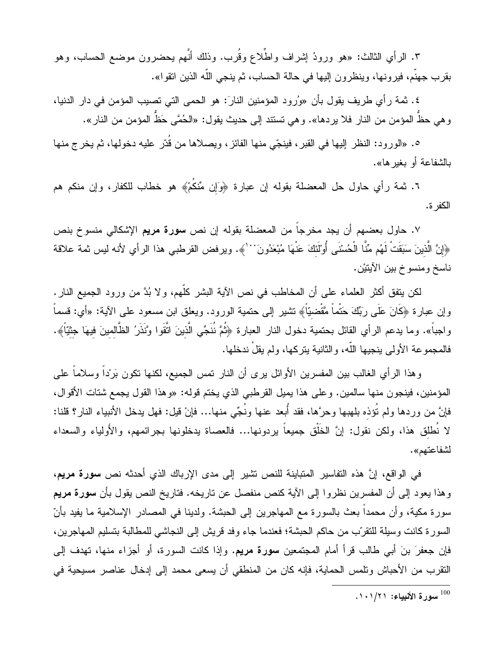٣. الرأي الثالث: «هو ورودُ إشراف واطِّلاع وقُرب. وذلك أنَّهم يحضرون موضع الحساب، وهو بقرب جهنَّم، فيرونها، وينظرون إليها في حالة الحساب، ثم ينجي الله الذين انقوا».

٤. ثمة رأى طريف يقول بأن «ورُرود المؤمنين النارَ: هو الحمى التي تصيب المؤمن في دار الدنيا، و هي حظِّ المؤمن من النار فلا يردها». و هي تستند إلى حديث يقول: «الحُمَّى حَظٌّ المؤمن من النار ».

٥. «الورود: النظر إليها في القبر، فينجّي منها الفائز، ويصلاها من قُدّر عليه دخولها، ثم يخر ج منها بِالشَّفاعة أو بِغيرِ ها».

٦. ثمة رأي حاول حل المعضلة بقوله إن عبارة ﴿وَإِن مِّنكُمْ﴾ هو خطاب للكفار، وإن منكم هم الكفر ة.

٧. حاول بعضهم أن يجد مخرجا من المعضلة بقوله إن نص **سورة مريم** الإشكالي منسوخ بنص ﴿إِنَّ الَّذِينَ سَبَقَتْ لَهُم مِّنَّا الْحُسْنَى أَوْلَٰئَكَ عَنْهَا مُبْعَدُونَ `` ﴾. ويرفض القرطبي هذا الر أي لأنه ليس ثمة علاقة ناسخ ومنسوخ بين الأيتيْن.

لكن يتفق أكثر العلماء على أن المخاطب في نص الآية البشر كلُّهم، و لا بُدَّ من ورود الجميع النار . وإن عبارة ﴿كَانَ عَلَى رَبِّكَ حَتْماً مَّقْضيّاً﴾ نتثبير إلى حنمية الورود. ويعلق ابن مسعود على الآية: «أي: قسماً واجباً». وما يدعم الرأي القائل بحتمية دخول النار العبارة ﴿ثُمَّ نُنَجِّي الَّذينَ اتَّقَوا وَّنَذَرُ الظَّالمينَ فيهَا جثيّاً﴾. فالمجموعة الأولى ينجيها اللَّه، والثانية يتركها، ولم يقلْ ندخلها.

وهذا الرأي الغالب بين المفسرين الأوائل برى أن النار نمس الجميع، لكنها نكون بَرُداً وسلاماً على المؤمنين، فينجون منها سالمين. وعلى هذا يميل القرطبي الذي يختم قوله: «وهذا القول يجمع شتات الأقوال، فإنَّ من وردها ولم نُؤذه بلهبها وحرَّها، فقد أبعد عنها ونُجِّي منها… فإنْ قيل: فهل يدخل الأنبياء النار؟ قلنا: لا نُطلق هذا، ولكن نقول: إنَّ الخُلْق جميعاً بردونها... فالعصاة يدخلونها بجرائمهم، والأولياء والسعداء لشفاعتهم».

في الواقع، إنَّ هذه التفاسير المتباينة للنص تشير إلى مدى الإرباك الذي أحدثه نص سورة مريع، وهذا يعود إلى أن المفسرين نظروا إلى الآية كنص منفصل عن تاريخه. فتاريخ النص يقول بأن سورة مريع سورة مكية، وأن محمداً بعث بالسورة مع المهاجرين إلى الحبشة. ولدينا في المصادر الإسلامية ما يفيد بأنّ السورة كانت وسيلة للتقرَّب من حاكم الحبشة؛ فعندما جاء وفد قريش إلى النجاشي للمطالبة بتسليم المهاجرين، فإن جعفرَ بنَ أبي طالب قرأ أمام المجتمعين سورة مريم. وإذا كانت السورة، أو أجزاء منها، تهدف إلى النقرب من الأحباش ونلمس الحماية، فإنه كان من المنطقي أن يسعى محمد إلى إدخال عناصر مسيحية في

<sup>100</sup> سورة الأنبياء: ١٠١/٢١.